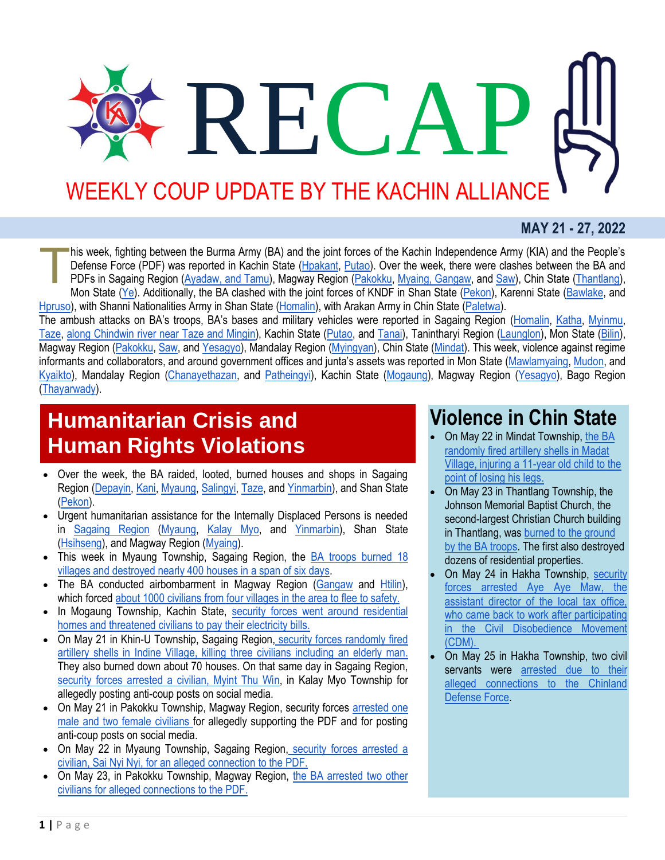# RECA WEEKLY COUP UPDATE BY THE KACHIN ALLIANCE

#### **MAY 21 - 27, 2022**

his week, fighting between the Burma Army (BA) and the joint forces of the Kachin Independence Army (KIA) and the People's Defense Force (PDF) was reported in Kachin State [\(Hpakant,](https://www.facebook.com/The74Media/posts/pfbid02MTrAYNMPYTrxqTciYMk61akQ3HWibZxiDN2vy7iYxWwiKuW3BGS4N9SaXhENpznzl) [Putao\)](https://www.facebook.com/The74Media/posts/pfbid03M2gfXC6Cfmgvkwo3ZLdRRQy5j8UbuZ7W5LLF1VfijK1kiL5WFNSRPre819SuJxpl). Over the week, there were clashes between the BA and PDFs in Sagaing Region [\(Ayadaw, and Tamu\)](http://burmese.dvb.no/archives/535507), Magway Region [\(Pakokku,](http://burmese.dvb.no/archives/534784) [Myaing, Gangaw,](http://burmese.dvb.no/archives/535463) and [Saw\)](http://burmese.dvb.no/archives/535291), Chin State [\(Thantlang\)](http://burmese.dvb.no/archives/535089), Mon State [\(Ye\)](http://burmese.dvb.no/archives/534918). Additionally, the BA clashed with the joint forces of KNDF in Shan State [\(Pekon\)](https://www.facebook.com/The74Media/posts/pfbid02iPq1ETdF8wHhXsVNUT9FGrUuC6NS6Zx7WzsCjHBDZszXdayVqt9b65gNtZsadVQNl), Karenni State [\(Bawlake,](http://burmese.dvb.no/archives/535277) and [Hpruso\)](http://burmese.dvb.no/archives/534876), with Shanni Nationalities Army in Shan State [\(Homalin\)](http://burmese.dvb.no/archives/535742), with Arakan Army in Chin State [\(Paletwa\)](http://burmese.dvb.no/archives/535442). T

The ambush attacks on BA's troops, BA's bases and military vehicles were reported in Sagaing Region [\(Homalin,](http://burmese.dvb.no/archives/535742) [Katha,](https://www.facebook.com/The74Media/posts/pfbid02HKuyxLqdkicDEgzTrkYaBzWqSgtfRuvcuVKA74PxbB8NGPyGyTh5nisV9RSz5azul) [Myinmu,](https://www.facebook.com/The74Media/posts/pfbid02Qo9g76EUkmhhTNrpZMTqVpvbtEWX6Y2hCZaBzrqZuusWFWw6TdvnvWea4VRiZDJvl) [Taze,](https://www.facebook.com/The74Media/posts/pfbid02GyP9zEx1DtSGKzegxrq1bbQ1UYRvgEdjXss8wE5aGL3UtxC53mXRoFRmNdUJNxp1l) [along Chindwin river near Taze and Mingin\)](http://burmese.dvb.no/archives/535707), Kachin State [\(Putao,](http://burmese.dvb.no/archives/535109) and [Tanai\)](https://www.facebook.com/The74Media/posts/pfbid02WLSskaJXrkTVASEjQxB7SXSPfTeuwtUotWPqi5b7umFzF7Jo7g88NYbZzXcV8f1gl), Tanintharyi Region [\(Launglon\)](http://burmese.dvb.no/archives/535626), Mon State [\(Bilin\)](http://burmese.dvb.no/archives/535591), Magway Region [\(Pakokku,](http://burmese.dvb.no/archives/535001) [Saw,](http://burmese.dvb.no/archives/535291) and [Yesagyo\)](http://burmese.dvb.no/archives/534984), Mandalay Region [\(Myingyan\)](http://burmese.dvb.no/archives/535025), Chin State [\(Mindat\)](http://burmese.dvb.no/archives/534892). This week, violence against regime informants and collaborators, and around government offices and junta's assets was reported in Mon State [\(Mawlamyaing,](http://burmese.dvb.no/archives/535529) [Mudon,](http://burmese.dvb.no/archives/534915) and [Kyaikto\)](http://burmese.dvb.no/archives/535060), Mandalay Region [\(Chanayethazan,](http://burmese.dvb.no/archives/534715) and [Patheingyi\)](http://burmese.dvb.no/archives/535352), Kachin State [\(Mogaung\)](http://burmese.dvb.no/archives/535246), Magway Region [\(Yesagyo\)](http://burmese.dvb.no/archives/535175), Bago Region [\(Thayarwady\)](http://burmese.dvb.no/archives/534906).

### **Humanitarian Crisis and Human Rights Violations**

- Over the week, the BA raided, looted, burned houses and shops in Sagaing Region [\(Depayin,](https://www.facebook.com/The74Media/posts/pfbid0rnuY1aeF6kma5RiRJwi7vrrXiHbaQfzwJmbRFgpEmb3rpyLDEyfFh66qbKDgXtmFl) [Kani,](http://burmese.dvb.no/archives/535645) [Myaung,](https://www.facebook.com/The74Media/posts/pfbid025WwwZyW5BPt1bVqBE8pfT3abSdgCq49h2AtBPys3fqLGYkBRRjZ15aTBBiiuGqjLl) [Salingyi,](http://burmese.dvb.no/archives/535451) [Taze,](https://www.facebook.com/The74Media/posts/pfbid02JCNMNjtQpfKJczVy1kJC5qExgsvCzHyNrUTyEbeWdaDmeCsMtCA9tPiBAqs8C5iEl) and [Yinmarbin\)](http://burmese.dvb.no/archives/535385), and Shan State [\(Pekon\)](http://burmese.dvb.no/archives/535623).
- Urgent humanitarian assistance for the Internally Displaced Persons is needed in [Sagaing Region](http://burmese.dvb.no/archives/535670) [\(Myaung,](http://burmese.dvb.no/archives/535116) [Kalay Myo,](http://burmese.dvb.no/archives/534705) and [Yinmarbin\)](http://burmese.dvb.no/archives/535261), Shan State [\(Hsihseng\)](http://burmese.dvb.no/archives/535209), and Magway Region [\(Myaing\)](http://burmese.dvb.no/archives/534724).
- This week in Myaung Township, Sagaing Region, the BA troops [burned 18](https://www.facebook.com/permalink.php?story_fbid=168789878891672&id=101557665614894)  [villages and destroyed nearly 400 houses in a span of six days.](https://www.facebook.com/permalink.php?story_fbid=168789878891672&id=101557665614894)
- The BA conducted airbombarment in Magway Region [\(Gangaw](http://burmese.dvb.no/archives/535779) and [Htilin\)](https://www.facebook.com/permalink.php?story_fbid=169008305536496&id=101557665614894), which forced [about 1000 civilians from four villages in the area to flee to safety.](http://burmese.dvb.no/archives/535443)
- In Mogaung Township, Kachin State, security forces went around residential [homes and threatened civilians to pay their electricity bills.](https://www.facebook.com/The74Media/posts/pfbid023b7jaSerXfhZcAYaQWsgDSGABvHGKiXUHyEnTPgzg62KzcYMG7cmpmhCW6AgB6y9l)
- On May 21 in Khin-U Township, Sagaing Region, security forces randomly fired [artillery shells in Indine Village, killing three civilians including an elderly man.](https://www.facebook.com/The74Media/posts/pfbid0m5fwxtXoMQ4Wh4o38HavjtexHekPAuHc7SJseerxZtKcGQ4GgmfX8cm7NZX1Skd9l) They also burned down about 70 houses. On that same day in Sagaing Region, [security forces arrested a civilian, Myint Thu Win,](http://burmese.dvb.no/archives/534742) in Kalay Myo Township for allegedly posting anti-coup posts on social media.
- On May 21 in Pakokku Township, Magway Region, security forces arrested one [male and two female civilians](http://burmese.dvb.no/archives/534780) for allegedly supporting the PDF and for posting anti-coup posts on social media.
- On May 22 in Myaung Township, Sagaing Region, [security forces arrested a](http://burmese.dvb.no/archives/534895)  [civilian, Sai Nyi Nyi, for an alleged connection to the PDF.](http://burmese.dvb.no/archives/534895)
- On May 23, in Pakokku Township, Magway Region, the BA arrested two other [civilians for alleged connections to the PDF.](http://burmese.dvb.no/archives/535166)

#### **Violence in Chin State**

- On May 22 in Mindat Township, [the BA](https://www.facebook.com/The74Media/posts/pfbid02mqTtzwHGCQBtuhdArJ9CDshCRK7u3iGxGwpkgrtuv7yYKd8yjrBKFzms5azFCz51l)  [randomly fired artillery shells in Madat](https://www.facebook.com/The74Media/posts/pfbid02mqTtzwHGCQBtuhdArJ9CDshCRK7u3iGxGwpkgrtuv7yYKd8yjrBKFzms5azFCz51l)  [Village, injuring a 11-year old child to the](https://www.facebook.com/The74Media/posts/pfbid02mqTtzwHGCQBtuhdArJ9CDshCRK7u3iGxGwpkgrtuv7yYKd8yjrBKFzms5azFCz51l)  [point of losing his legs.](https://www.facebook.com/The74Media/posts/pfbid02mqTtzwHGCQBtuhdArJ9CDshCRK7u3iGxGwpkgrtuv7yYKd8yjrBKFzms5azFCz51l)
- On May 23 in Thantlang Township, the Johnson Memorial Baptist Church, the second-largest Christian Church building in Thantlang, was [burned to the ground](https://www.facebook.com/permalink.php?story_fbid=168639448906715&id=101557665614894)  [by the BA troops.](https://www.facebook.com/permalink.php?story_fbid=168639448906715&id=101557665614894) The first also destroyed dozens of residential properties.
- On May 24 in Hakha Township, [security](https://www.facebook.com/The74Media/posts/pfbid0CVnrXiqsvKb6h4EiPjSK7Z4VesyBKk9NZnDWur3kjR1BdJ9WEHZZdC8B5A6aLQXhl)  [forces arrested Aye Aye Maw, the](https://www.facebook.com/The74Media/posts/pfbid0CVnrXiqsvKb6h4EiPjSK7Z4VesyBKk9NZnDWur3kjR1BdJ9WEHZZdC8B5A6aLQXhl)  [assistant director of the local tax office,](https://www.facebook.com/The74Media/posts/pfbid0CVnrXiqsvKb6h4EiPjSK7Z4VesyBKk9NZnDWur3kjR1BdJ9WEHZZdC8B5A6aLQXhl)  [who came back to work after participating](https://www.facebook.com/The74Media/posts/pfbid0CVnrXiqsvKb6h4EiPjSK7Z4VesyBKk9NZnDWur3kjR1BdJ9WEHZZdC8B5A6aLQXhl)  [in the Civil Disobedience Movement](https://www.facebook.com/The74Media/posts/pfbid0CVnrXiqsvKb6h4EiPjSK7Z4VesyBKk9NZnDWur3kjR1BdJ9WEHZZdC8B5A6aLQXhl)  [\(CDM\).](https://www.facebook.com/The74Media/posts/pfbid0CVnrXiqsvKb6h4EiPjSK7Z4VesyBKk9NZnDWur3kjR1BdJ9WEHZZdC8B5A6aLQXhl)
- On May 25 in Hakha Township, two civil servants were arrested due to their [alleged connections to the Chinland](https://www.facebook.com/permalink.php?story_fbid=168848308885829&id=101557665614894)  [Defense Force.](https://www.facebook.com/permalink.php?story_fbid=168848308885829&id=101557665614894)